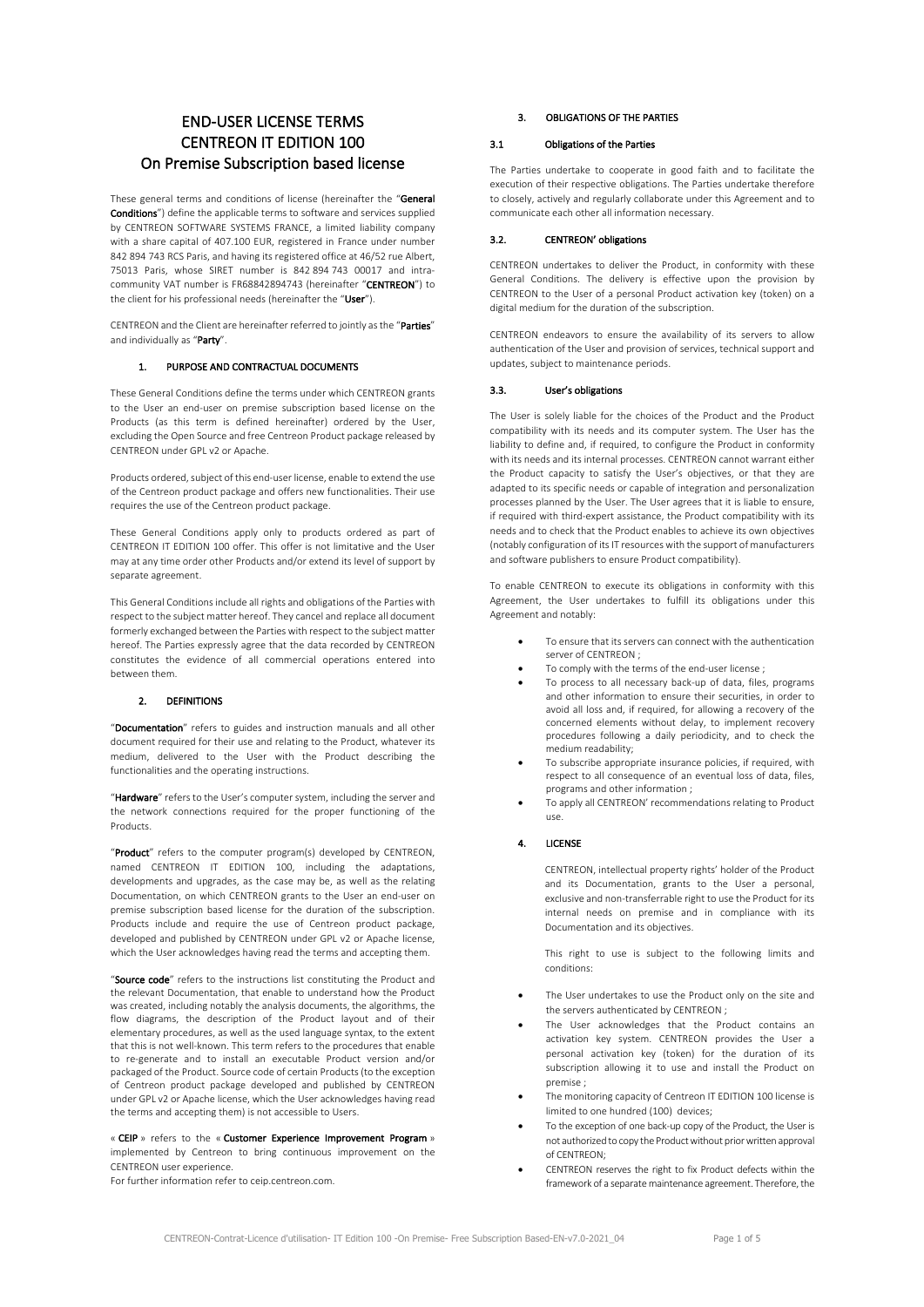# END-USER LICENSE TERMS CENTREON IT EDITION 100 On Premise Subscription based license

These general terms and conditions of license (hereinafter the "General Conditions") define the applicable terms to software and services supplied by CENTREON SOFTWARE SYSTEMS FRANCE, a limited liability company with a share capital of 407.100 EUR, registered in France under number 842 894 743 RCS Paris, and having its registered office at 46/52 rue Albert, 75013 Paris, whose SIRET number is 842 894 743 00017 and intracommunity VAT number is FR68842894743 (hereinafter "CENTREON") to the client for his professional needs (hereinafter the "User").

CENTREON and the Client are hereinafter referred to jointly as the "Parties" and individually as "Party".

## PURPOSE AND CONTRACTUAL DOCUMENTS

These General Conditions define the terms under which CENTREON grants to the User an end-user on premise subscription based license on the Products (as this term is defined hereinafter) ordered by the User, excluding the Open Source and free Centreon Product package released by CENTREON under GPL v2 or Apache.

Products ordered, subject of this end-user license, enable to extend the use of the Centreon product package and offers new functionalities. Their use requires the use of the Centreon product package.

These General Conditions apply only to products ordered as part of CENTREON IT EDITION 100 offer. This offer is not limitative and the User may at any time order other Products and/or extend its level of support by separate agreement.

This General Conditions include all rights and obligations of the Parties with respect to the subject matter hereof. They cancel and replace all document formerly exchanged between the Parties with respect to the subject matter hereof. The Parties expressly agree that the data recorded by CENTREON constitutes the evidence of all commercial operations entered into between them.

## 2. DEFINITIONS

"Documentation" refers to guides and instruction manuals and all other document required for their use and relating to the Product, whatever its medium, delivered to the User with the Product describing the functionalities and the operating instructions.

"Hardware" refers to the User's computer system, including the server and the network connections required for the proper functioning of the Products.

"Product" refers to the computer program(s) developed by CENTREON, named CENTREON IT EDITION 100, including the adaptations, developments and upgrades, as the case may be, as well as the relating Documentation, on which CENTREON grants to the User an end-user on premise subscription based license for the duration of the subscription. Products include and require the use of Centreon product package, developed and published by CENTREON under GPL v2 or Apache license, which the User acknowledges having read the terms and accepting them.

"Source code" refers to the instructions list constituting the Product and the relevant Documentation, that enable to understand how the Product was created, including notably the analysis documents, the algorithms, the flow diagrams, the description of the Product layout and of their elementary procedures, as well as the used language syntax, to the extent that this is not well-known. This term refers to the procedures that enable to re-generate and to install an executable Product version and/or packaged of the Product. Source code of certain Products (to the exception of Centreon product package developed and published by CENTREON under GPL v2 or Apache license, which the User acknowledges having read the terms and accepting them) is not accessible to Users.

« CEIP » refers to the « Customer Experience Improvement Program » implemented by Centreon to bring continuous improvement on the CENTREON user experience.

For further information refer to ceip.centreon.com.

## 3. OBLIGATIONS OF THE PARTIES

## 3.1 Obligations of the Parties

The Parties undertake to cooperate in good faith and to facilitate the execution of their respective obligations. The Parties undertake therefore to closely, actively and regularly collaborate under this Agreement and to communicate each other all information necessary.

## 3.2. CENTREON' obligations

CENTREON undertakes to deliver the Product, in conformity with these General Conditions. The delivery is effective upon the provision by CENTREON to the User of a personal Product activation key (token) on a digital medium for the duration of the subscription.

CENTREON endeavors to ensure the availability of its servers to allow authentication of the User and provision of services, technical support and updates, subject to maintenance periods.

#### 3.3. User's obligations

The User is solely liable for the choices of the Product and the Product compatibility with its needs and its computer system. The User has the liability to define and, if required, to configure the Product in conformity with its needs and its internal processes. CENTREON cannot warrant either the Product capacity to satisfy the User's objectives, or that they are adapted to its specific needs or capable of integration and personalization processes planned by the User. The User agrees that it is liable to ensure, if required with third-expert assistance, the Product compatibility with its needs and to check that the Product enables to achieve its own objectives (notably configuration of its IT resources with the support of manufacturers and software publishers to ensure Product compatibility).

To enable CENTREON to execute its obligations in conformity with this Agreement, the User undertakes to fulfill its obligations under this Agreement and notably:

- To ensure that its servers can connect with the authentication server of CENTREON ;
- To comply with the terms of the end-user license ;
- To process to all necessary back-up of data, files, programs and other information to ensure their securities, in order to avoid all loss and, if required, for allowing a recovery of the concerned elements without delay, to implement recovery procedures following a daily periodicity, and to check the medium readability;
- To subscribe appropriate insurance policies, if required, with respect to all consequence of an eventual loss of data, files, programs and other information ;
- To apply all CENTREON' recommendations relating to Product use.

# 4. LICENSE

CENTREON, intellectual property rights' holder of the Product and its Documentation, grants to the User a personal, exclusive and non-transferrable right to use the Product for its internal needs on premise and in compliance with its Documentation and its objectives.

This right to use is subject to the following limits and conditions:

- The User undertakes to use the Product only on the site and the servers authenticated by CENTREON ;
- The User acknowledges that the Product contains an activation key system. CENTREON provides the User a personal activation key (token) for the duration of its subscription allowing it to use and install the Product on premise ;
- The monitoring capacity of Centreon IT EDITION 100 license is limited to one hundred (100) devices;
- To the exception of one back-up copy of the Product, the User is not authorized to copy the Product without prior written approval of CENTREON;
- CENTREON reserves the right to fix Product defects within the framework of a separate maintenance agreement. Therefore, the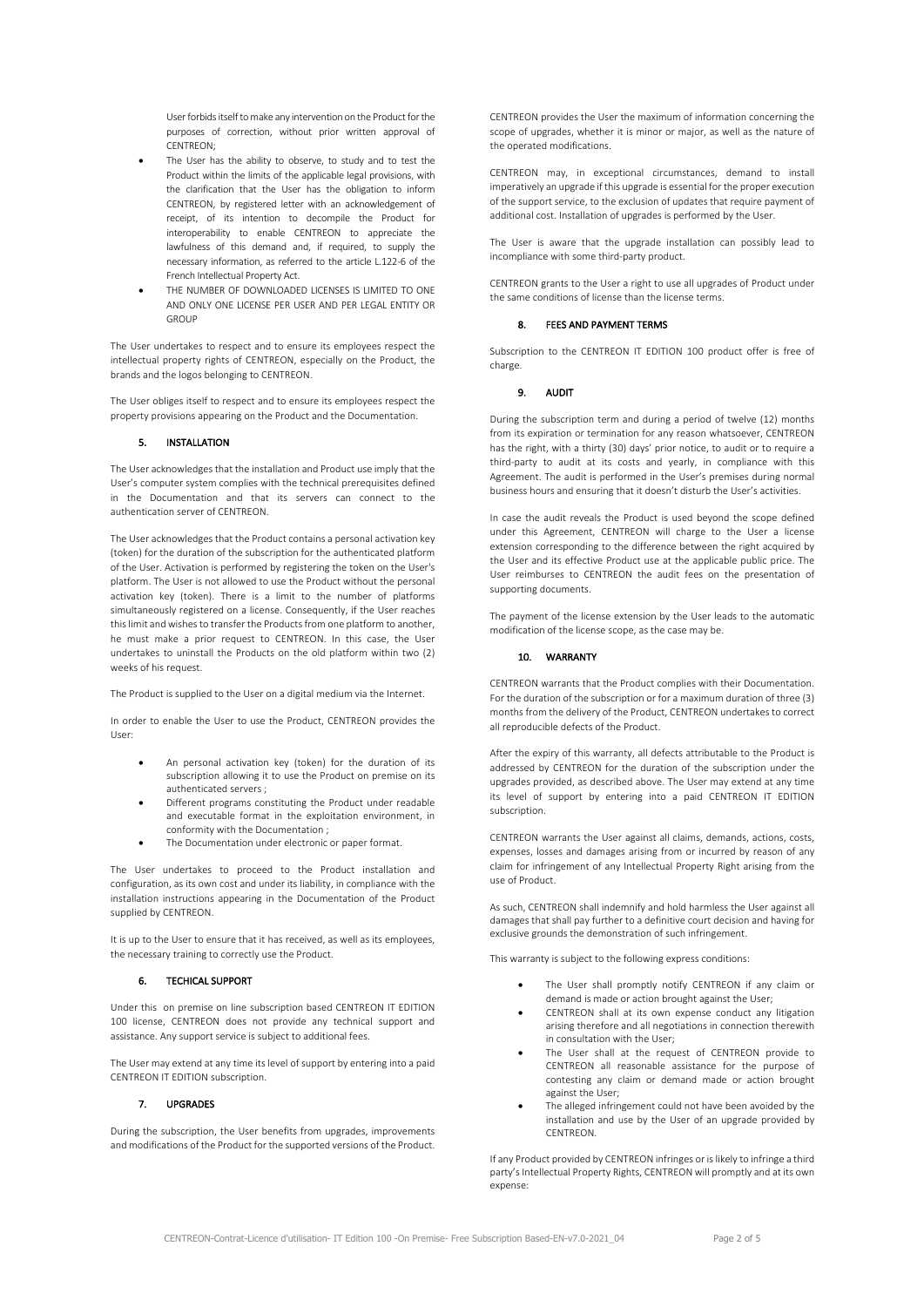User forbids itself to make any intervention on the Product for the purposes of correction, without prior written approval of CENTREON;

- The User has the ability to observe, to study and to test the Product within the limits of the applicable legal provisions, with the clarification that the User has the obligation to inform CENTREON, by registered letter with an acknowledgement of receipt, of its intention to decompile the Product for interoperability to enable CENTREON to appreciate the lawfulness of this demand and, if required, to supply the necessary information, as referred to the article L.122-6 of the French Intellectual Property Act.
- THE NUMBER OF DOWNLOADED LICENSES IS LIMITED TO ONE AND ONLY ONE LICENSE PER USER AND PER LEGAL ENTITY OR GROUP

The User undertakes to respect and to ensure its employees respect the intellectual property rights of CENTREON, especially on the Product, the brands and the logos belonging to CENTREON.

The User obliges itself to respect and to ensure its employees respect the property provisions appearing on the Product and the Documentation.

## 5. INSTALLATION

The User acknowledges that the installation and Product use imply that the User's computer system complies with the technical prerequisites defined in the Documentation and that its servers can connect to the authentication server of CENTREON.

The User acknowledges that the Product contains a personal activation key (token) for the duration of the subscription for the authenticated platform of the User. Activation is performed by registering the token on the User's platform. The User is not allowed to use the Product without the personal activation key (token). There is a limit to the number of platforms simultaneously registered on a license. Consequently, if the User reaches this limit and wishes to transfer the Products from one platform to another, he must make a prior request to CENTREON. In this case, the User undertakes to uninstall the Products on the old platform within two (2) weeks of his request.

The Product is supplied to the User on a digital medium via the Internet.

In order to enable the User to use the Product, CENTREON provides the User:

- An personal activation key (token) for the duration of its subscription allowing it to use the Product on premise on its authenticated servers ;
- Different programs constituting the Product under readable and executable format in the exploitation environment, in conformity with the Documentation ;
- The Documentation under electronic or paper format.

The User undertakes to proceed to the Product installation and configuration, as its own cost and under its liability, in compliance with the installation instructions appearing in the Documentation of the Product supplied by CENTREON.

It is up to the User to ensure that it has received, as well as its employees, the necessary training to correctly use the Product.

# 6. TECHICAL SUPPORT

Under this on premise on line subscription based CENTREON IT EDITION 100 license, CENTREON does not provide any technical support and assistance. Any support service is subject to additional fees.

The User may extend at any time its level of support by entering into a paid CENTREON IT EDITION subscription.

## 7. UPGRADES

During the subscription, the User benefits from upgrades, improvements and modifications of the Product for the supported versions of the Product.

CENTREON provides the User the maximum of information concerning the scope of upgrades, whether it is minor or major, as well as the nature of the operated modifications.

CENTREON may, in exceptional circumstances, demand to install imperatively an upgrade if this upgrade is essential for the proper execution of the support service, to the exclusion of updates that require payment of additional cost. Installation of upgrades is performed by the User.

The User is aware that the upgrade installation can possibly lead to incompliance with some third-party product.

CENTREON grants to the User a right to use all upgrades of Product under the same conditions of license than the license terms.

## 8. FEES AND PAYMENT TERMS

Subscription to the CENTREON IT EDITION 100 product offer is free of charge.

#### 9. AUDIT

During the subscription term and during a period of twelve (12) months from its expiration or termination for any reason whatsoever, CENTREON has the right, with a thirty (30) days' prior notice, to audit or to require a third-party to audit at its costs and yearly, in compliance with this Agreement. The audit is performed in the User's premises during normal business hours and ensuring that it doesn't disturb the User's activities.

In case the audit reveals the Product is used beyond the scope defined under this Agreement, CENTREON will charge to the User a license extension corresponding to the difference between the right acquired by the User and its effective Product use at the applicable public price. The User reimburses to CENTREON the audit fees on the presentation of supporting documents.

The payment of the license extension by the User leads to the automatic modification of the license scope, as the case may be.

#### 10. WARRANTY

CENTREON warrants that the Product complies with their Documentation. For the duration of the subscription or for a maximum duration of three (3) months from the delivery of the Product, CENTREON undertakes to correct all reproducible defects of the Product.

After the expiry of this warranty, all defects attributable to the Product is addressed by CENTREON for the duration of the subscription under the upgrades provided, as described above. The User may extend at any time its level of support by entering into a paid CENTREON IT EDITION subscription.

CENTREON warrants the User against all claims, demands, actions, costs, expenses, losses and damages arising from or incurred by reason of any claim for infringement of any Intellectual Property Right arising from the use of Product.

As such, CENTREON shall indemnify and hold harmless the User against all damages that shall pay further to a definitive court decision and having for exclusive grounds the demonstration of such infringement.

This warranty is subject to the following express conditions:

- The User shall promptly notify CENTREON if any claim or demand is made or action brought against the User;
- CENTREON shall at its own expense conduct any litigation arising therefore and all negotiations in connection therewith in consultation with the User;
- The User shall at the request of CENTREON provide to CENTREON all reasonable assistance for the purpose of contesting any claim or demand made or action brought against the User;
- The alleged infringement could not have been avoided by the installation and use by the User of an upgrade provided by CENTREON.

If any Product provided by CENTREON infringes or is likely to infringe a third party's Intellectual Property Rights, CENTREON will promptly and at its own expense: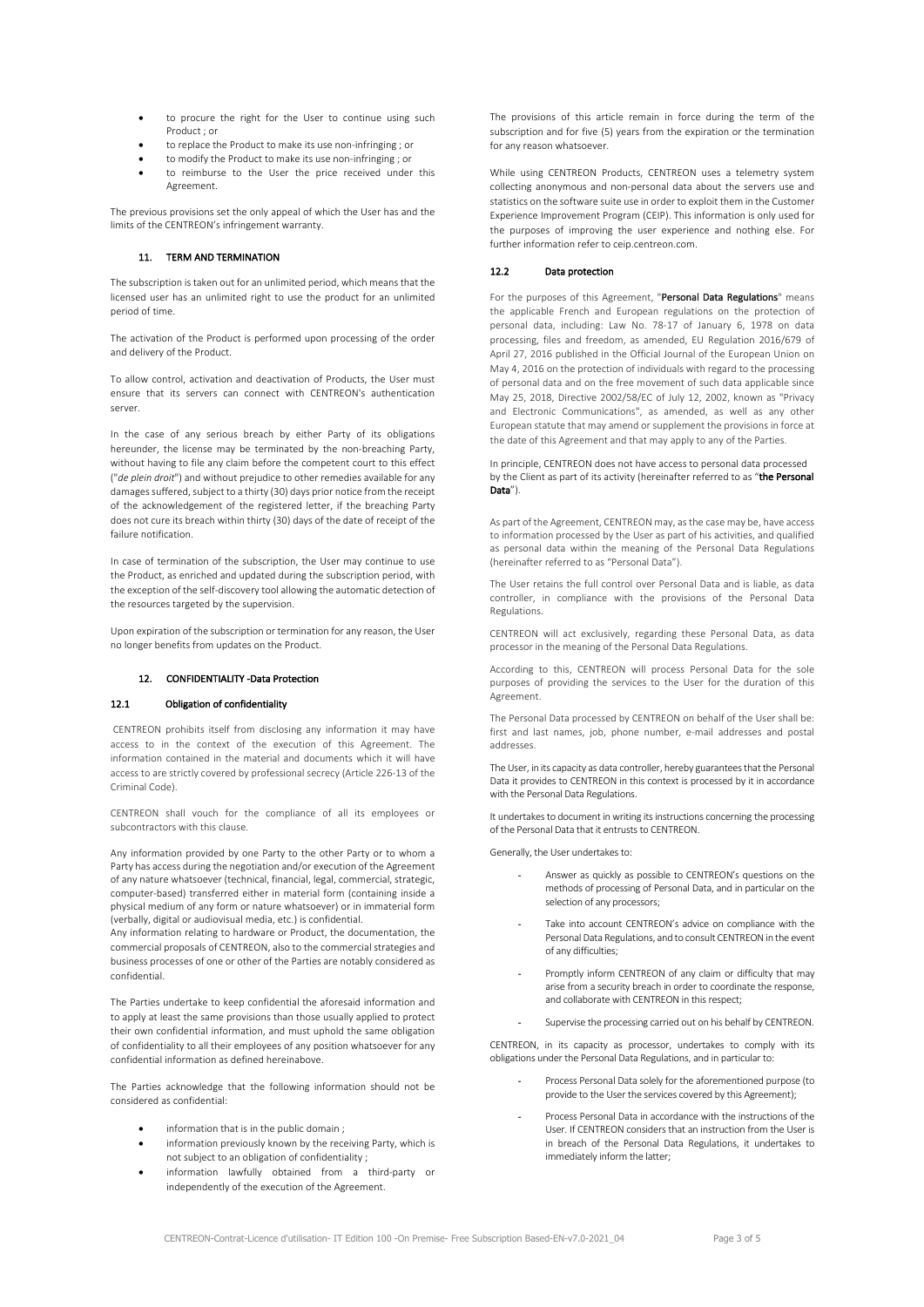- to procure the right for the User to continue using such Product ; or
- to replace the Product to make its use non-infringing ; or
- to modify the Product to make its use non-infringing ; or to reimburse to the User the price received under this Agreement.

The previous provisions set the only appeal of which the User has and the limits of the CENTREON's infringement warranty.

## 11. TERM AND TERMINATION

The subscription is taken out for an unlimited period, which means that the licensed user has an unlimited right to use the product for an unlimited period of time.

The activation of the Product is performed upon processing of the order and delivery of the Product.

To allow control, activation and deactivation of Products, the User must ensure that its servers can connect with CENTREON's authentication server.

In the case of any serious breach by either Party of its obligations hereunder, the license may be terminated by the non-breaching Party, without having to file any claim before the competent court to this effect ("*de plein droit*") and without prejudice to other remedies available for any damages suffered, subject to a thirty (30) days prior notice from the receipt of the acknowledgement of the registered letter, if the breaching Party does not cure its breach within thirty (30) days of the date of receipt of the failure notification.

In case of termination of the subscription, the User may continue to use the Product, as enriched and updated during the subscription period, with the exception of the self-discovery tool allowing the automatic detection of the resources targeted by the supervision.

Upon expiration of the subscription or termination for any reason, the User no longer benefits from updates on the Product.

## 12. CONFIDENTIALITY -Data Protection

## 12.1 Obligation of confidentiality

CENTREON prohibits itself from disclosing any information it may have access to in the context of the execution of this Agreement. The information contained in the material and documents which it will have access to are strictly covered by professional secrecy (Article 226-13 of the Criminal Code).

CENTREON shall vouch for the compliance of all its employees or subcontractors with this clause.

Any information provided by one Party to the other Party or to whom a Party has access during the negotiation and/or execution of the Agreement of any nature whatsoever (technical, financial, legal, commercial, strategic, computer-based) transferred either in material form (containing inside a physical medium of any form or nature whatsoever) or in immaterial form (verbally, digital or audiovisual media, etc.) is confidential.

Any information relating to hardware or Product, the documentation, the commercial proposals of CENTREON, also to the commercial strategies and business processes of one or other of the Parties are notably considered as confidential.

The Parties undertake to keep confidential the aforesaid information and to apply at least the same provisions than those usually applied to protect their own confidential information, and must uphold the same obligation of confidentiality to all their employees of any position whatsoever for any confidential information as defined hereinabove.

The Parties acknowledge that the following information should not be considered as confidential:

- information that is in the public domain;
- information previously known by the receiving Party, which is not subject to an obligation of confidentiality ;
- information lawfully obtained from a third-party or independently of the execution of the Agreement.

The provisions of this article remain in force during the term of the subscription and for five (5) years from the expiration or the termination for any reason whatsoever.

While using CENTREON Products, CENTREON uses a telemetry system collecting anonymous and non-personal data about the servers use and statistics on the software suite use in order to exploit them in the Customer Experience Improvement Program (CEIP). This information is only used for the purposes of improving the user experience and nothing else. For further information refer to ceip.centreon.com.

## 12.2 Data protection

For the purposes of this Agreement, "Personal Data Regulations" means the applicable French and European regulations on the protection of personal data, including: Law No. 78-17 of January 6, 1978 on data processing, files and freedom, as amended, EU Regulation 2016/679 of April 27, 2016 published in the Official Journal of the European Union on May 4, 2016 on the protection of individuals with regard to the processing of personal data and on the free movement of such data applicable since May 25, 2018, Directive 2002/58/EC of July 12, 2002, known as "Privacy and Electronic Communications", as amended, as well as any other European statute that may amend or supplement the provisions in force at the date of this Agreement and that may apply to any of the Parties.

In principle, CENTREON does not have access to personal data processed by the Client as part of its activity (hereinafter referred to as "the Personal Data").

As part of the Agreement, CENTREON may, as the case may be, have access to information processed by the User as part of his activities, and qualified as personal data within the meaning of the Personal Data Regulations (hereinafter referred to as "Personal Data").

The User retains the full control over Personal Data and is liable, as data controller, in compliance with the provisions of the Personal Data Regulations.

CENTREON will act exclusively, regarding these Personal Data, as data processor in the meaning of the Personal Data Regulations.

According to this, CENTREON will process Personal Data for the sole purposes of providing the services to the User for the duration of this Agreement.

The Personal Data processed by CENTREON on behalf of the User shall be: first and last names, job, phone number, e-mail addresses and postal addresses.

The User, in its capacity as data controller, hereby guarantees that the Personal Data it provides to CENTREON in this context is processed by it in accordance with the Personal Data Regulations.

It undertakes to document in writing its instructions concerning the processing of the Personal Data that it entrusts to CENTREON.

Generally, the User undertakes to:

- Answer as quickly as possible to CENTREON's questions on the methods of processing of Personal Data, and in particular on the selection of any processors;
- Take into account CENTREON's advice on compliance with the Personal Data Regulations, and to consult CENTREON in the event of any difficulties;
- Promptly inform CENTREON of any claim or difficulty that may arise from a security breach in order to coordinate the response, and collaborate with CENTREON in this respect;
- Supervise the processing carried out on his behalf by CENTREON.

CENTREON, in its capacity as processor, undertakes to comply with its obligations under the Personal Data Regulations, and in particular to:

- Process Personal Data solely for the aforementioned purpose (to provide to the User the services covered by this Agreement);
- Process Personal Data in accordance with the instructions of the User. If CENTREON considers that an instruction from the User is in breach of the Personal Data Regulations, it undertakes to immediately inform the latter;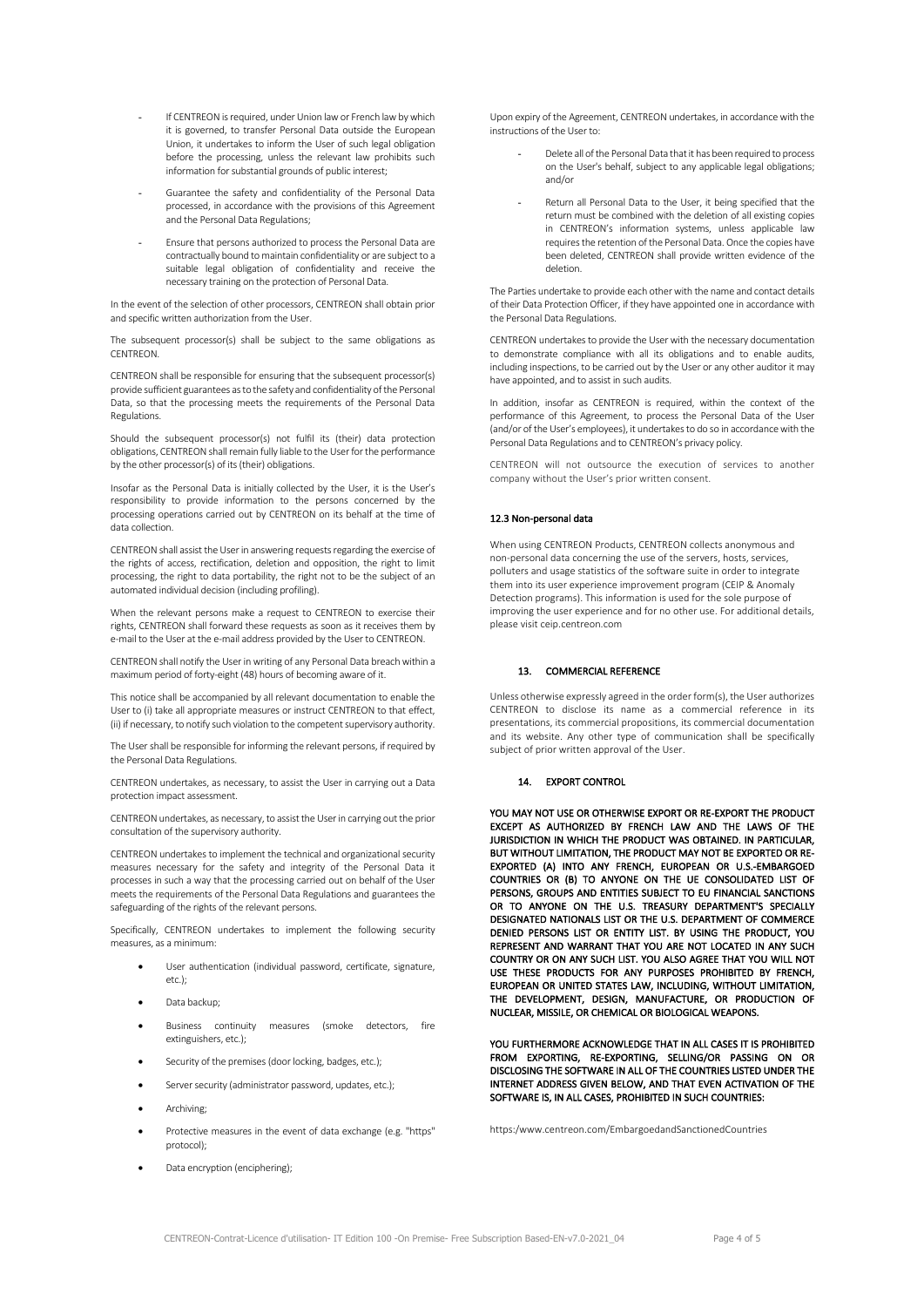- If CENTREON is required, under Union law or French law by which it is governed, to transfer Personal Data outside the European Union, it undertakes to inform the User of such legal obligation before the processing, unless the relevant law prohibits such information for substantial grounds of public interest;
- Guarantee the safety and confidentiality of the Personal Data processed, in accordance with the provisions of this Agreement and the Personal Data Regulations;
- Ensure that persons authorized to process the Personal Data are contractually bound to maintain confidentiality or are subject to a suitable legal obligation of confidentiality and receive the necessary training on the protection of Personal Data.

In the event of the selection of other processors, CENTREON shall obtain prior and specific written authorization from the User.

The subsequent processor(s) shall be subject to the same obligations as **CENTREON** 

CENTREON shall be responsible for ensuring that the subsequent processor(s) provide sufficient guarantees as to the safety and confidentiality of the Personal Data, so that the processing meets the requirements of the Personal Data Regulations.

Should the subsequent processor(s) not fulfil its (their) data protection obligations, CENTREON shall remain fully liable to the User for the performance by the other processor(s) of its (their) obligations.

Insofar as the Personal Data is initially collected by the User, it is the User's responsibility to provide information to the persons concerned by the processing operations carried out by CENTREON on its behalf at the time of data collection.

CENTREON shall assist the Userin answering requests regarding the exercise of the rights of access, rectification, deletion and opposition, the right to limit processing, the right to data portability, the right not to be the subject of an automated individual decision (including profiling).

When the relevant persons make a request to CENTREON to exercise their rights, CENTREON shall forward these requests as soon as it receives them by e-mail to the User at the e-mail address provided by the User to CENTREON.

CENTREON shall notify the User in writing of any Personal Data breach within a maximum period of forty-eight (48) hours of becoming aware of it.

This notice shall be accompanied by all relevant documentation to enable the User to (i) take all appropriate measures or instruct CENTREON to that effect, (ii) if necessary, to notify such violation to the competent supervisory authority.

The User shall be responsible for informing the relevant persons, if required by the Personal Data Regulations.

CENTREON undertakes, as necessary, to assist the User in carrying out a Data protection impact assessment.

CENTREON undertakes, as necessary, to assist the Userin carrying out the prior consultation of the supervisory authority.

CENTREON undertakes to implement the technical and organizational security measures necessary for the safety and integrity of the Personal Data it processes in such a way that the processing carried out on behalf of the User meets the requirements of the Personal Data Regulations and guarantees the safeguarding of the rights of the relevant persons.

Specifically, CENTREON undertakes to implement the following security measures, as a minimum:

- User authentication (individual password, certificate, signature, etc.);
- Data backup;
- Business continuity measures (smoke detectors, fire extinguishers, etc.);
- Security of the premises (door locking, badges, etc.);
- Server security (administrator password, updates, etc.):
- Archiving:
- Protective measures in the event of data exchange (e.g. "https" protocol);
- Data encryption (enciphering);

Upon expiry of the Agreement, CENTREON undertakes, in accordance with the instructions of the User to:

- Delete all of the Personal Data that it has been required to process on the User's behalf, subject to any applicable legal obligations; and/or
- Return all Personal Data to the User, it being specified that the return must be combined with the deletion of all existing copies in CENTREON's information systems, unless applicable law requiresthe retention of the Personal Data. Once the copies have been deleted, CENTREON shall provide written evidence of the deletion.

The Parties undertake to provide each other with the name and contact details of their Data Protection Officer, if they have appointed one in accordance with the Personal Data Regulations.

CENTREON undertakes to provide the User with the necessary documentation to demonstrate compliance with all its obligations and to enable audits, including inspections, to be carried out by the User or any other auditor it may have appointed, and to assist in such audits.

In addition, insofar as CENTREON is required, within the context of the performance of this Agreement, to process the Personal Data of the User (and/or of the User's employees), it undertakes to do so in accordance with the Personal Data Regulations and to CENTREON's privacy policy.

CENTREON will not outsource the execution of services to another company without the User's prior written consent.

#### 12.3 Non-personal data

When using CENTREON Products, CENTREON collects anonymous and non-personal data concerning the use of the servers, hosts, services, polluters and usage statistics of the software suite in order to integrate them into its user experience improvement program (CEIP & Anomaly Detection programs). This information is used for the sole purpose of improving the user experience and for no other use. For additional details, please visit ceip.centreon.com

# 13. COMMERCIAL REFERENCE

Unless otherwise expressly agreed in the order form(s), the User authorizes CENTREON to disclose its name as a commercial reference in its presentations, its commercial propositions, its commercial documentation and its website. Any other type of communication shall be specifically subject of prior written approval of the User.

# 14. EXPORT CONTROL

YOU MAY NOT USE OR OTHERWISE EXPORT OR RE-EXPORT THE PRODUCT EXCEPT AS AUTHORIZED BY FRENCH LAW AND THE LAWS OF THE JURISDICTION IN WHICH THE PRODUCT WAS OBTAINED. IN PARTICULAR, BUT WITHOUT LIMITATION, THE PRODUCT MAY NOT BE EXPORTED OR RE-EXPORTED (A) INTO ANY FRENCH, EUROPEAN OR U.S.-EMBARGOED COUNTRIES OR (B) TO ANYONE ON THE UE CONSOLIDATED LIST OF PERSONS, GROUPS AND ENTITIES SUBJECT TO EU FINANCIAL SANCTIONS OR TO ANYONE ON THE U.S. TREASURY DEPARTMENT'S SPECIALLY DESIGNATED NATIONALS LIST OR THE U.S. DEPARTMENT OF COMMERCE DENIED PERSONS LIST OR ENTITY LIST. BY USING THE PRODUCT, YOU REPRESENT AND WARRANT THAT YOU ARE NOT LOCATED IN ANY SUCH COUNTRY OR ON ANY SUCH LIST. YOU ALSO AGREE THAT YOU WILL NOT USE THESE PRODUCTS FOR ANY PURPOSES PROHIBITED BY FRENCH, EUROPEAN OR UNITED STATES LAW, INCLUDING, WITHOUT LIMITATION, THE DEVELOPMENT, DESIGN, MANUFACTURE, OR PRODUCTION OF NUCLEAR, MISSILE, OR CHEMICAL OR BIOLOGICAL WEAPONS.

YOU FURTHERMORE ACKNOWLEDGE THAT IN ALL CASES IT IS PROHIBITED FROM EXPORTING, RE-EXPORTING, SELLING/OR PASSING ON OR DISCLOSING THE SOFTWARE IN ALL OF THE COUNTRIES LISTED UNDER THE INTERNET ADDRESS GIVEN BELOW, AND THAT EVEN ACTIVATION OF THE SOFTWARE IS, IN ALL CASES, PROHIBITED IN SUCH COUNTRIES:

https:/www.centreon.com/EmbargoedandSanctionedCountries